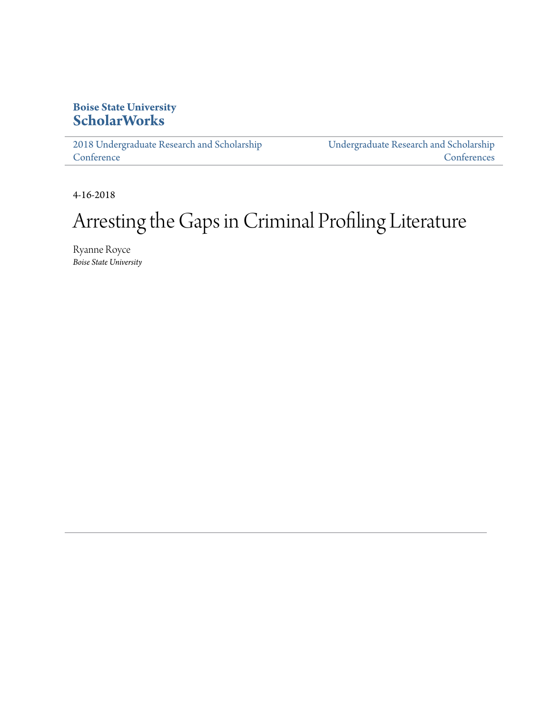### **Boise State University [ScholarWorks](https://scholarworks.boisestate.edu)**

[2018 Undergraduate Research and Scholarship](https://scholarworks.boisestate.edu/under_conf_2018) **[Conference](https://scholarworks.boisestate.edu/under_conf_2018)** 

[Undergraduate Research and Scholarship](https://scholarworks.boisestate.edu/under_conference) **[Conferences](https://scholarworks.boisestate.edu/under_conference)** 

4-16-2018

### Arresting the Gaps in Criminal Profiling Literature

Ryanne Royce *Boise State University*